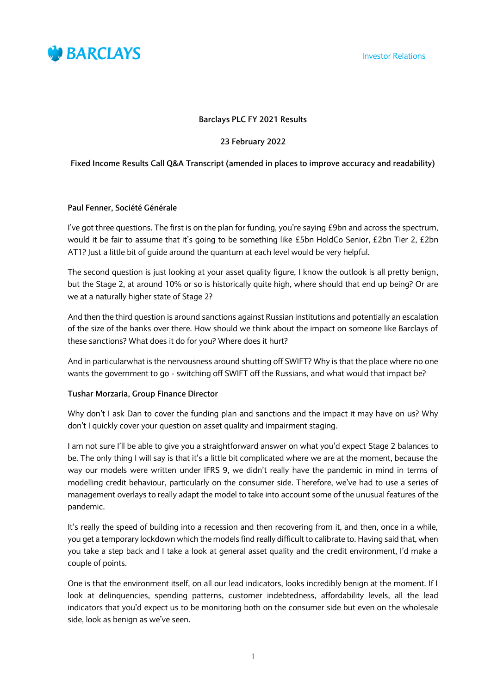

Investor Relations

## **Barclays PLC FY 2021 Results**

# **23 February 2022**

# **Fixed Income Results Call Q&A Transcript (amended in places to improve accuracy and readability)**

## **Paul Fenner, Société Générale**

I've got three questions. The first is on the plan for funding, you're saying £9bn and across the spectrum, would it be fair to assume that it's going to be something like £5bn HoldCo Senior, £2bn Tier 2, £2bn AT1? Just a little bit of guide around the quantum at each level would be very helpful.

The second question is just looking at your asset quality figure, I know the outlook is all pretty benign, but the Stage 2, at around 10% or so is historically quite high, where should that end up being? Or are we at a naturally higher state of Stage 2?

And then the third question is around sanctions against Russian institutions and potentially an escalation of the size of the banks over there. How should we think about the impact on someone like Barclays of these sanctions? What does it do for you? Where does it hurt?

And in particularwhat is the nervousness around shutting off SWIFT? Why is that the place where no one wants the government to go - switching off SWIFT off the Russians, and what would that impact be?

## **Tushar Morzaria, Group Finance Director**

Why don't I ask Dan to cover the funding plan and sanctions and the impact it may have on us? Why don't I quickly cover your question on asset quality and impairment staging.

I am not sure I'll be able to give you a straightforward answer on what you'd expect Stage 2 balances to be. The only thing I will say is that it's a little bit complicated where we are at the moment, because the way our models were written under IFRS 9, we didn't really have the pandemic in mind in terms of modelling credit behaviour, particularly on the consumer side. Therefore, we've had to use a series of management overlays to really adapt the model to take into account some of the unusual features of the pandemic.

It's really the speed of building into a recession and then recovering from it, and then, once in a while, you get a temporary lockdown which the models find really difficult to calibrate to. Having said that, when you take a step back and I take a look at general asset quality and the credit environment, I'd make a couple of points.

One is that the environment itself, on all our lead indicators, looks incredibly benign at the moment. If I look at delinquencies, spending patterns, customer indebtedness, affordability levels, all the lead indicators that you'd expect us to be monitoring both on the consumer side but even on the wholesale side, look as benign as we've seen.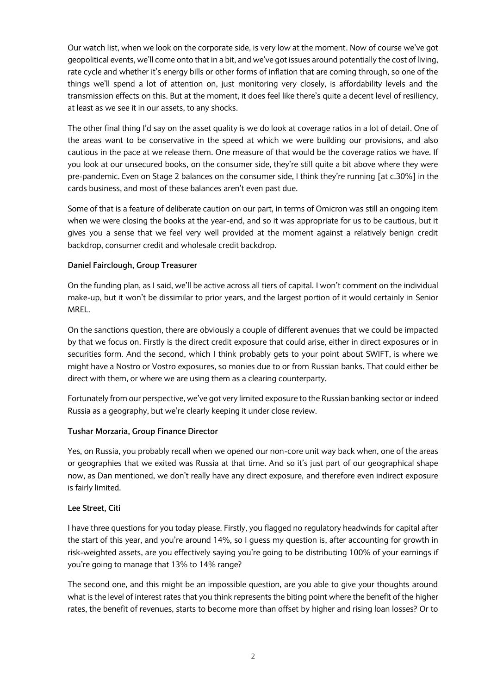Our watch list, when we look on the corporate side, is very low at the moment. Now of course we've got geopolitical events, we'll come onto that in a bit, and we've got issues around potentially the cost of living, rate cycle and whether it's energy bills or other forms of inflation that are coming through, so one of the things we'll spend a lot of attention on, just monitoring very closely, is affordability levels and the transmission effects on this. But at the moment, it does feel like there's quite a decent level of resiliency, at least as we see it in our assets, to any shocks.

The other final thing I'd say on the asset quality is we do look at coverage ratios in a lot of detail. One of the areas want to be conservative in the speed at which we were building our provisions, and also cautious in the pace at we release them. One measure of that would be the coverage ratios we have. If you look at our unsecured books, on the consumer side, they're still quite a bit above where they were pre-pandemic. Even on Stage 2 balances on the consumer side, I think they're running [at c.30%] in the cards business, and most of these balances aren't even past due.

Some of that is a feature of deliberate caution on our part, in terms of Omicron was still an ongoing item when we were closing the books at the year-end, and so it was appropriate for us to be cautious, but it gives you a sense that we feel very well provided at the moment against a relatively benign credit backdrop, consumer credit and wholesale credit backdrop.

# **Daniel Fairclough, Group Treasurer**

On the funding plan, as I said, we'll be active across all tiers of capital. I won't comment on the individual make-up, but it won't be dissimilar to prior years, and the largest portion of it would certainly in Senior MREL.

On the sanctions question, there are obviously a couple of different avenues that we could be impacted by that we focus on. Firstly is the direct credit exposure that could arise, either in direct exposures or in securities form. And the second, which I think probably gets to your point about SWIFT, is where we might have a Nostro or Vostro exposures, so monies due to or from Russian banks. That could either be direct with them, or where we are using them as a clearing counterparty.

Fortunately from our perspective, we've got very limited exposure to the Russian banking sector or indeed Russia as a geography, but we're clearly keeping it under close review.

## **Tushar Morzaria, Group Finance Director**

Yes, on Russia, you probably recall when we opened our non-core unit way back when, one of the areas or geographies that we exited was Russia at that time. And so it's just part of our geographical shape now, as Dan mentioned, we don't really have any direct exposure, and therefore even indirect exposure is fairly limited.

## **Lee Street, Citi**

I have three questions for you today please. Firstly, you flagged no regulatory headwinds for capital after the start of this year, and you're around 14%, so I guess my question is, after accounting for growth in risk-weighted assets, are you effectively saying you're going to be distributing 100% of your earnings if you're going to manage that 13% to 14% range?

The second one, and this might be an impossible question, are you able to give your thoughts around what is the level of interest rates that you think represents the biting point where the benefit of the higher rates, the benefit of revenues, starts to become more than offset by higher and rising loan losses? Or to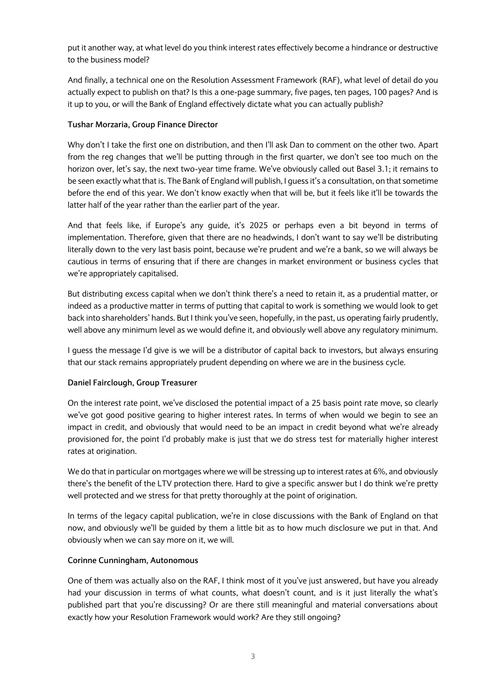put it another way, at what level do you think interest rates effectively become a hindrance or destructive to the business model?

And finally, a technical one on the Resolution Assessment Framework (RAF), what level of detail do you actually expect to publish on that? Is this a one-page summary, five pages, ten pages, 100 pages? And is it up to you, or will the Bank of England effectively dictate what you can actually publish?

# **Tushar Morzaria, Group Finance Director**

Why don't I take the first one on distribution, and then I'll ask Dan to comment on the other two. Apart from the reg changes that we'll be putting through in the first quarter, we don't see too much on the horizon over, let's say, the next two-year time frame. We've obviously called out Basel 3.1; it remains to be seen exactly what that is. The Bank of England will publish, I guess it's a consultation, on that sometime before the end of this year. We don't know exactly when that will be, but it feels like it'll be towards the latter half of the year rather than the earlier part of the year.

And that feels like, if Europe's any guide, it's 2025 or perhaps even a bit beyond in terms of implementation. Therefore, given that there are no headwinds, I don't want to say we'll be distributing literally down to the very last basis point, because we're prudent and we're a bank, so we will always be cautious in terms of ensuring that if there are changes in market environment or business cycles that we're appropriately capitalised.

But distributing excess capital when we don't think there's a need to retain it, as a prudential matter, or indeed as a productive matter in terms of putting that capital to work is something we would look to get back into shareholders' hands. But I think you've seen, hopefully, in the past, us operating fairly prudently, well above any minimum level as we would define it, and obviously well above any regulatory minimum.

I guess the message I'd give is we will be a distributor of capital back to investors, but always ensuring that our stack remains appropriately prudent depending on where we are in the business cycle.

## **Daniel Fairclough, Group Treasurer**

On the interest rate point, we've disclosed the potential impact of a 25 basis point rate move, so clearly we've got good positive gearing to higher interest rates. In terms of when would we begin to see an impact in credit, and obviously that would need to be an impact in credit beyond what we're already provisioned for, the point I'd probably make is just that we do stress test for materially higher interest rates at origination.

We do that in particular on mortgages where we will be stressing up to interest rates at 6%, and obviously there's the benefit of the LTV protection there. Hard to give a specific answer but I do think we're pretty well protected and we stress for that pretty thoroughly at the point of origination.

In terms of the legacy capital publication, we're in close discussions with the Bank of England on that now, and obviously we'll be guided by them a little bit as to how much disclosure we put in that. And obviously when we can say more on it, we will.

## **Corinne Cunningham, Autonomous**

One of them was actually also on the RAF, I think most of it you've just answered, but have you already had your discussion in terms of what counts, what doesn't count, and is it just literally the what's published part that you're discussing? Or are there still meaningful and material conversations about exactly how your Resolution Framework would work? Are they still ongoing?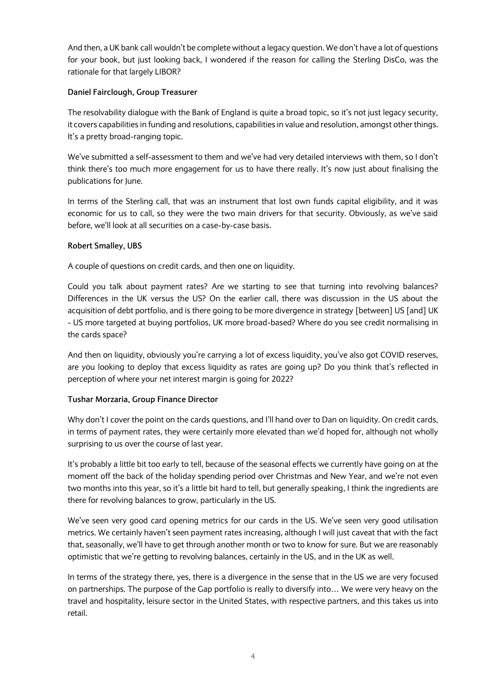And then, a UK bank call wouldn't be complete without a legacy question. We don't have a lot of questions for your book, but just looking back, I wondered if the reason for calling the Sterling DisCo, was the rationale for that largely LIBOR?

# **Daniel Fairclough, Group Treasurer**

The resolvability dialogue with the Bank of England is quite a broad topic, so it's not just legacy security, it covers capabilities in funding and resolutions, capabilities in value and resolution, amongst other things. It's a pretty broad-ranging topic.

We've submitted a self-assessment to them and we've had very detailed interviews with them, so I don't think there's too much more engagement for us to have there really. It's now just about finalising the publications for June.

In terms of the Sterling call, that was an instrument that lost own funds capital eligibility, and it was economic for us to call, so they were the two main drivers for that security. Obviously, as we've said before, we'll look at all securities on a case-by-case basis.

# **Robert Smalley, UBS**

A couple of questions on credit cards, and then one on liquidity.

Could you talk about payment rates? Are we starting to see that turning into revolving balances? Differences in the UK versus the US? On the earlier call, there was discussion in the US about the acquisition of debt portfolio, and is there going to be more divergence in strategy [between] US [and] UK - US more targeted at buying portfolios, UK more broad-based? Where do you see credit normalising in the cards space?

And then on liquidity, obviously you're carrying a lot of excess liquidity, you've also got COVID reserves, are you looking to deploy that excess liquidity as rates are going up? Do you think that's reflected in perception of where your net interest margin is going for 2022?

# **Tushar Morzaria, Group Finance Director**

Why don't I cover the point on the cards questions, and I'll hand over to Dan on liquidity. On credit cards, in terms of payment rates, they were certainly more elevated than we'd hoped for, although not wholly surprising to us over the course of last year.

It's probably a little bit too early to tell, because of the seasonal effects we currently have going on at the moment off the back of the holiday spending period over Christmas and New Year, and we're not even two months into this year, so it's a little bit hard to tell, but generally speaking, I think the ingredients are there for revolving balances to grow, particularly in the US.

We've seen very good card opening metrics for our cards in the US. We've seen very good utilisation metrics. We certainly haven't seen payment rates increasing, although I will just caveat that with the fact that, seasonally, we'll have to get through another month or two to know for sure. But we are reasonably optimistic that we're getting to revolving balances, certainly in the US, and in the UK as well.

In terms of the strategy there, yes, there is a divergence in the sense that in the US we are very focused on partnerships. The purpose of the Gap portfolio is really to diversify into… We were very heavy on the travel and hospitality, leisure sector in the United States, with respective partners, and this takes us into retail.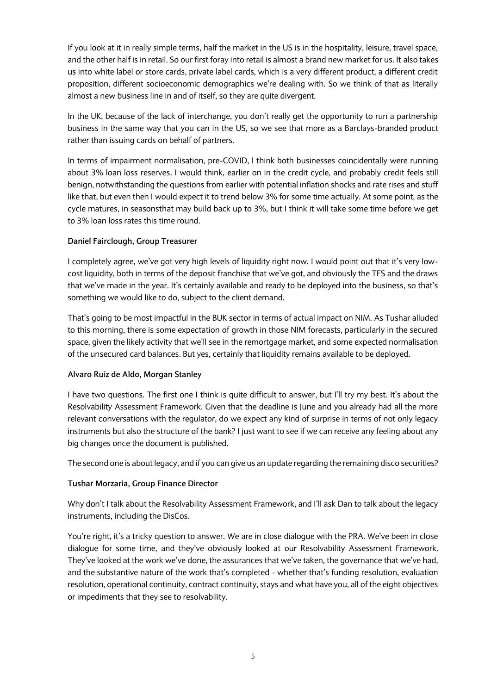If you look at it in really simple terms, half the market in the US is in the hospitality, leisure, travel space, and the other half is in retail. So our first foray into retail is almost a brand new market for us. It also takes us into white label or store cards, private label cards, which is a very different product, a different credit proposition, different socioeconomic demographics we're dealing with. So we think of that as literally almost a new business line in and of itself, so they are quite divergent.

In the UK, because of the lack of interchange, you don't really get the opportunity to run a partnership business in the same way that you can in the US, so we see that more as a Barclays-branded product rather than issuing cards on behalf of partners.

In terms of impairment normalisation, pre-COVID, I think both businesses coincidentally were running about 3% loan loss reserves. I would think, earlier on in the credit cycle, and probably credit feels still benign, notwithstanding the questions from earlier with potential inflation shocks and rate rises and stuff like that, but even then I would expect it to trend below 3% for some time actually. At some point, as the cycle matures, in seasonsthat may build back up to 3%, but I think it will take some time before we get to 3% loan loss rates this time round.

# **Daniel Fairclough, Group Treasurer**

I completely agree, we've got very high levels of liquidity right now. I would point out that it's very lowcost liquidity, both in terms of the deposit franchise that we've got, and obviously the TFS and the draws that we've made in the year. It's certainly available and ready to be deployed into the business, so that's something we would like to do, subject to the client demand.

That's going to be most impactful in the BUK sector in terms of actual impact on NIM. As Tushar alluded to this morning, there is some expectation of growth in those NIM forecasts, particularly in the secured space, given the likely activity that we'll see in the remortgage market, and some expected normalisation of the unsecured card balances. But yes, certainly that liquidity remains available to be deployed.

## **Alvaro Ruiz de Aldo, Morgan Stanley**

I have two questions. The first one I think is quite difficult to answer, but I'll try my best. It's about the Resolvability Assessment Framework. Given that the deadline is June and you already had all the more relevant conversations with the regulator, do we expect any kind of surprise in terms of not only legacy instruments but also the structure of the bank? I just want to see if we can receive any feeling about any big changes once the document is published.

The second one is about legacy, and if you can give us an update regarding the remaining disco securities?

## **Tushar Morzaria, Group Finance Director**

Why don't I talk about the Resolvability Assessment Framework, and I'll ask Dan to talk about the legacy instruments, including the DisCos.

You're right, it's a tricky question to answer. We are in close dialogue with the PRA. We've been in close dialogue for some time, and they've obviously looked at our Resolvability Assessment Framework. They've looked at the work we've done, the assurances that we've taken, the governance that we've had, and the substantive nature of the work that's completed - whether that's funding resolution, evaluation resolution, operational continuity, contract continuity, stays and what have you, all of the eight objectives or impediments that they see to resolvability.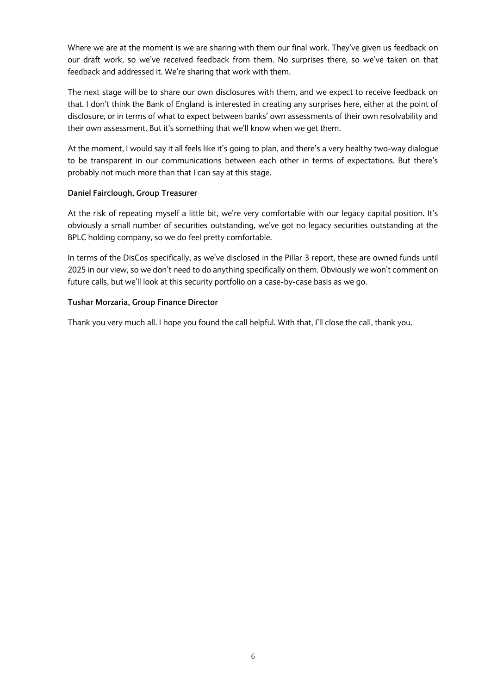Where we are at the moment is we are sharing with them our final work. They've given us feedback on our draft work, so we've received feedback from them. No surprises there, so we've taken on that feedback and addressed it. We're sharing that work with them.

The next stage will be to share our own disclosures with them, and we expect to receive feedback on that. I don't think the Bank of England is interested in creating any surprises here, either at the point of disclosure, or in terms of what to expect between banks' own assessments of their own resolvability and their own assessment. But it's something that we'll know when we get them.

At the moment, I would say it all feels like it's going to plan, and there's a very healthy two-way dialogue to be transparent in our communications between each other in terms of expectations. But there's probably not much more than that I can say at this stage.

# **Daniel Fairclough, Group Treasurer**

At the risk of repeating myself a little bit, we're very comfortable with our legacy capital position. It's obviously a small number of securities outstanding, we've got no legacy securities outstanding at the BPLC holding company, so we do feel pretty comfortable.

In terms of the DisCos specifically, as we've disclosed in the Pillar 3 report, these are owned funds until 2025 in our view, so we don't need to do anything specifically on them. Obviously we won't comment on future calls, but we'll look at this security portfolio on a case-by-case basis as we go.

# **Tushar Morzaria, Group Finance Director**

Thank you very much all. I hope you found the call helpful. With that, I'll close the call, thank you.